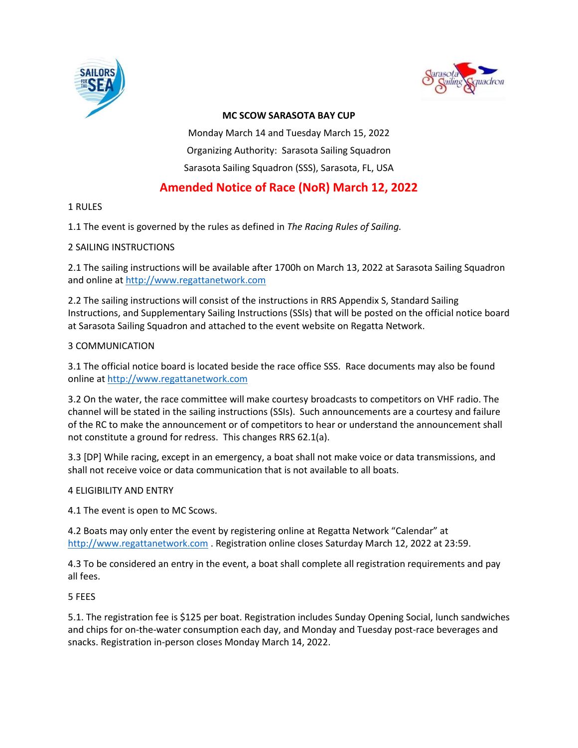



### **MC SCOW SARASOTA BAY CUP**

Monday March 14 and Tuesday March 15, 2022 Organizing Authority: Sarasota Sailing Squadron Sarasota Sailing Squadron (SSS), Sarasota, FL, USA

# **Amended Notice of Race (NoR) March 12, 2022**

### 1 RULES

1.1 The event is governed by the rules as defined in *The Racing Rules of Sailing.*

### 2 SAILING INSTRUCTIONS

2.1 The sailing instructions will be available after 1700h on March 13, 2022 at Sarasota Sailing Squadron and online at [http://www.regattanetwork.com](http://www.regattanetwork.com/)

2.2 The sailing instructions will consist of the instructions in RRS Appendix S, Standard Sailing Instructions, and Supplementary Sailing Instructions (SSIs) that will be posted on the official notice board at Sarasota Sailing Squadron and attached to the event website on Regatta Network.

### 3 COMMUNICATION

3.1 The official notice board is located beside the race office SSS. Race documents may also be found online at [http://www.regattanetwork.com](http://www.regattanetwork.com/)

3.2 On the water, the race committee will make courtesy broadcasts to competitors on VHF radio. The channel will be stated in the sailing instructions (SSIs). Such announcements are a courtesy and failure of the RC to make the announcement or of competitors to hear or understand the announcement shall not constitute a ground for redress. This changes RRS 62.1(a).

3.3 [DP] While racing, except in an emergency, a boat shall not make voice or data transmissions, and shall not receive voice or data communication that is not available to all boats.

# 4 ELIGIBILITY AND ENTRY

4.1 The event is open to MC Scows.

4.2 Boats may only enter the event by registering online at Regatta Network "Calendar" at [http://www.regattanetwork.com](http://www.regattanetwork.com/) . Registration online closes Saturday March 12, 2022 at 23:59.

4.3 To be considered an entry in the event, a boat shall complete all registration requirements and pay all fees.

5 FEES

5.1. The registration fee is \$125 per boat. Registration includes Sunday Opening Social, lunch sandwiches and chips for on-the-water consumption each day, and Monday and Tuesday post-race beverages and snacks. Registration in-person closes Monday March 14, 2022.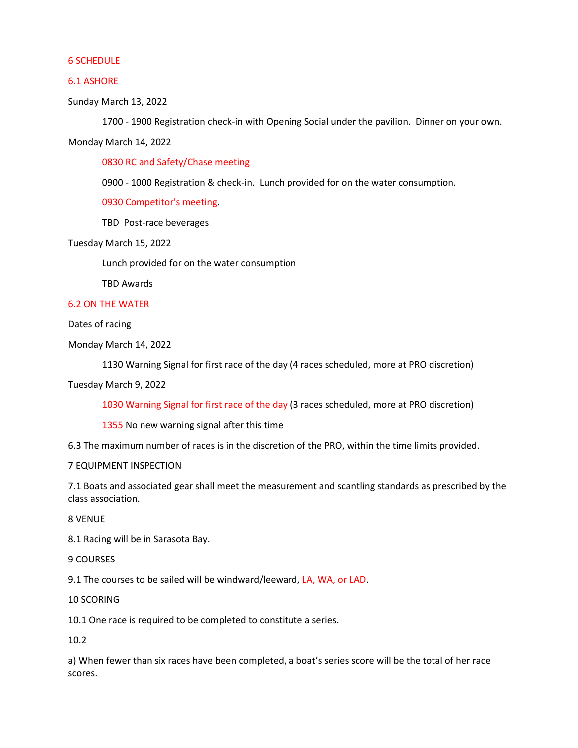#### 6 SCHEDULE

#### 6.1 ASHORE

Sunday March 13, 2022

1700 - 1900 Registration check-in with Opening Social under the pavilion. Dinner on your own.

Monday March 14, 2022

0830 RC and Safety/Chase meeting

0900 - 1000 Registration & check-in. Lunch provided for on the water consumption.

0930 Competitor's meeting.

TBD Post-race beverages

Tuesday March 15, 2022

Lunch provided for on the water consumption

TBD Awards

#### 6.2 ON THE WATER

Dates of racing

Monday March 14, 2022

1130 Warning Signal for first race of the day (4 races scheduled, more at PRO discretion)

#### Tuesday March 9, 2022

1030 Warning Signal for first race of the day (3 races scheduled, more at PRO discretion)

1355 No new warning signal after this time

6.3 The maximum number of races is in the discretion of the PRO, within the time limits provided.

#### 7 EQUIPMENT INSPECTION

7.1 Boats and associated gear shall meet the measurement and scantling standards as prescribed by the class association.

8 VENUE

8.1 Racing will be in Sarasota Bay.

9 COURSES

9.1 The courses to be sailed will be windward/leeward, LA, WA, or LAD.

10 SCORING

10.1 One race is required to be completed to constitute a series.

10.2

a) When fewer than six races have been completed, a boat's series score will be the total of her race scores.